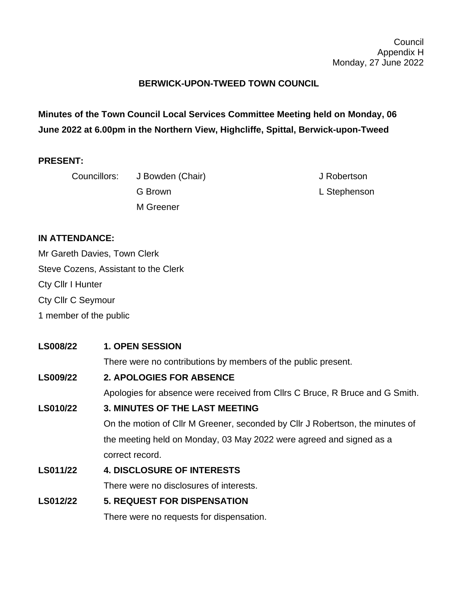## **BERWICK-UPON-TWEED TOWN COUNCIL**

**Minutes of the Town Council Local Services Committee Meeting held on Monday, 06 June 2022 at 6.00pm in the Northern View, Highcliffe, Spittal, Berwick-upon-Tweed**

#### **PRESENT:**

| Councillors: | J Bowden (Chair) | J Robertson  |
|--------------|------------------|--------------|
|              | G Brown          | L Stephenson |
|              | M Greener        |              |

#### **IN ATTENDANCE:**

Mr Gareth Davies, Town Clerk Steve Cozens, Assistant to the Clerk Cty Cllr I Hunter Cty Cllr C Seymour 1 member of the public

# **LS008/22 1. OPEN SESSION** There were no contributions by members of the public present. **LS009/22 2. APOLOGIES FOR ABSENCE** Apologies for absence were received from Cllrs C Bruce, R Bruce and G Smith. **LS010/22 3. MINUTES OF THE LAST MEETING** On the motion of Cllr M Greener, seconded by Cllr J Robertson, the minutes of the meeting held on Monday, 03 May 2022 were agreed and signed as a correct record. **LS011/22 4. DISCLOSURE OF INTERESTS** There were no disclosures of interests. **LS012/22 5. REQUEST FOR DISPENSATION**

# There were no requests for dispensation.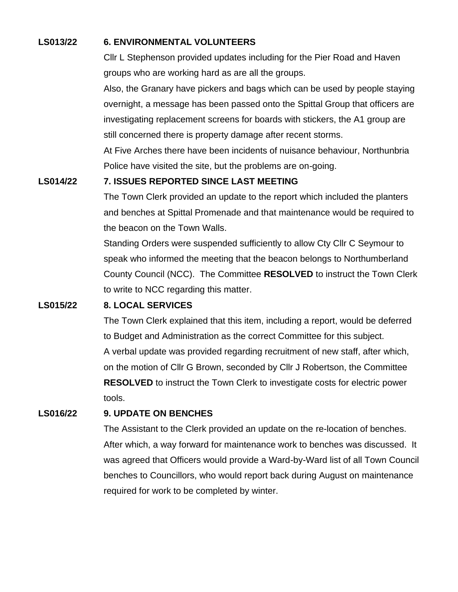#### **LS013/22 6. ENVIRONMENTAL VOLUNTEERS**

Cllr L Stephenson provided updates including for the Pier Road and Haven groups who are working hard as are all the groups.

Also, the Granary have pickers and bags which can be used by people staying overnight, a message has been passed onto the Spittal Group that officers are investigating replacement screens for boards with stickers, the A1 group are still concerned there is property damage after recent storms.

At Five Arches there have been incidents of nuisance behaviour, Northunbria Police have visited the site, but the problems are on-going.

#### **LS014/22 7. ISSUES REPORTED SINCE LAST MEETING**

The Town Clerk provided an update to the report which included the planters and benches at Spittal Promenade and that maintenance would be required to the beacon on the Town Walls.

Standing Orders were suspended sufficiently to allow Cty Cllr C Seymour to speak who informed the meeting that the beacon belongs to Northumberland County Council (NCC). The Committee **RESOLVED** to instruct the Town Clerk to write to NCC regarding this matter.

#### **LS015/22 8. LOCAL SERVICES**

The Town Clerk explained that this item, including a report, would be deferred to Budget and Administration as the correct Committee for this subject. A verbal update was provided regarding recruitment of new staff, after which, on the motion of Cllr G Brown, seconded by Cllr J Robertson, the Committee **RESOLVED** to instruct the Town Clerk to investigate costs for electric power tools.

#### **LS016/22 9. UPDATE ON BENCHES**

The Assistant to the Clerk provided an update on the re-location of benches. After which, a way forward for maintenance work to benches was discussed. It was agreed that Officers would provide a Ward-by-Ward list of all Town Council benches to Councillors, who would report back during August on maintenance required for work to be completed by winter.